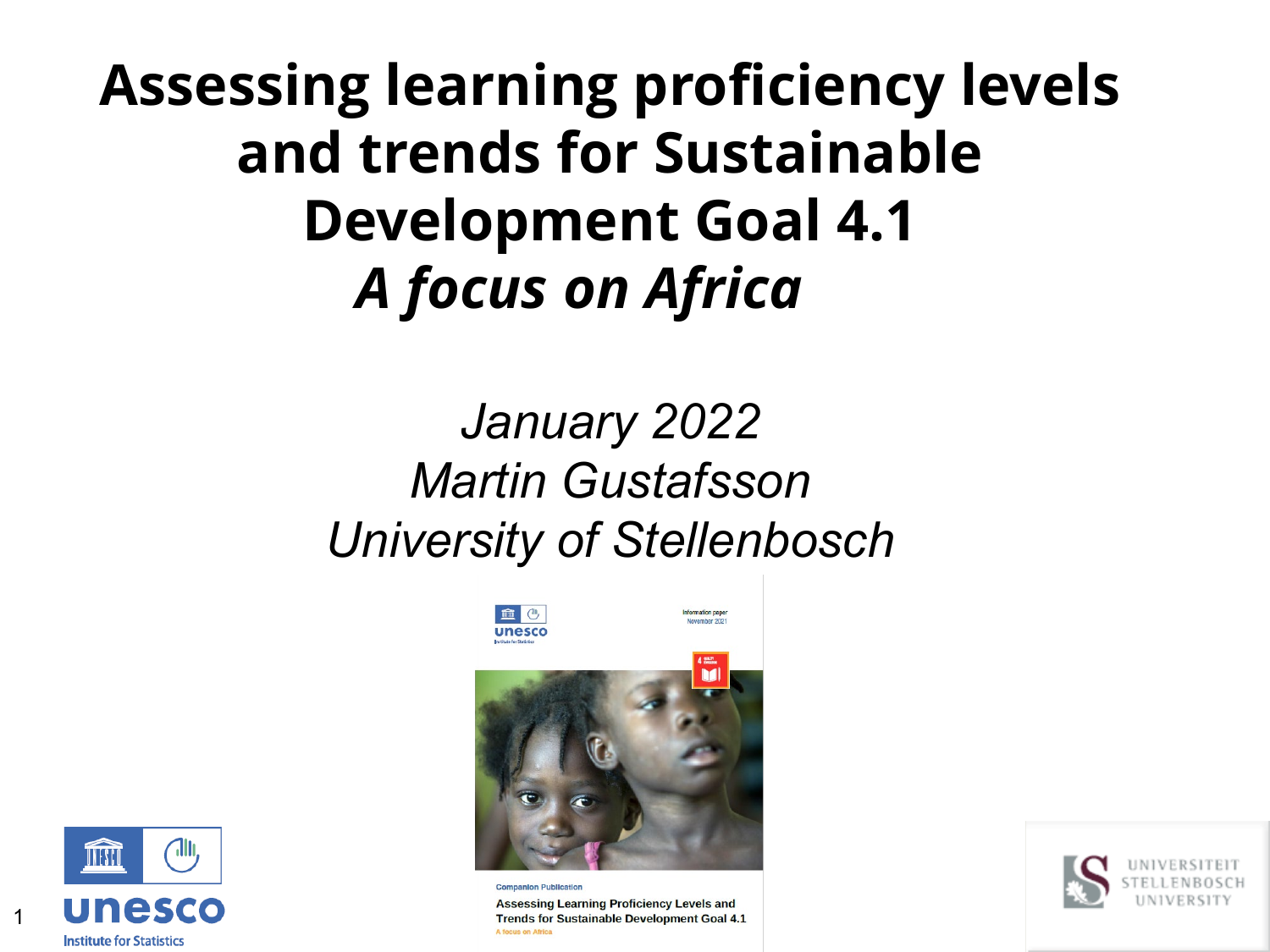## **Assessing learning proficiency levels and trends for Sustainable Development Goal 4.1** *A focus on Africa*

### *January 2022 Martin Gustafsson University of Stellenbosch*



**Assessing Learning Proficiency Levels and** Trends for Sustainable Development Goal 4.1 A focus on Africa



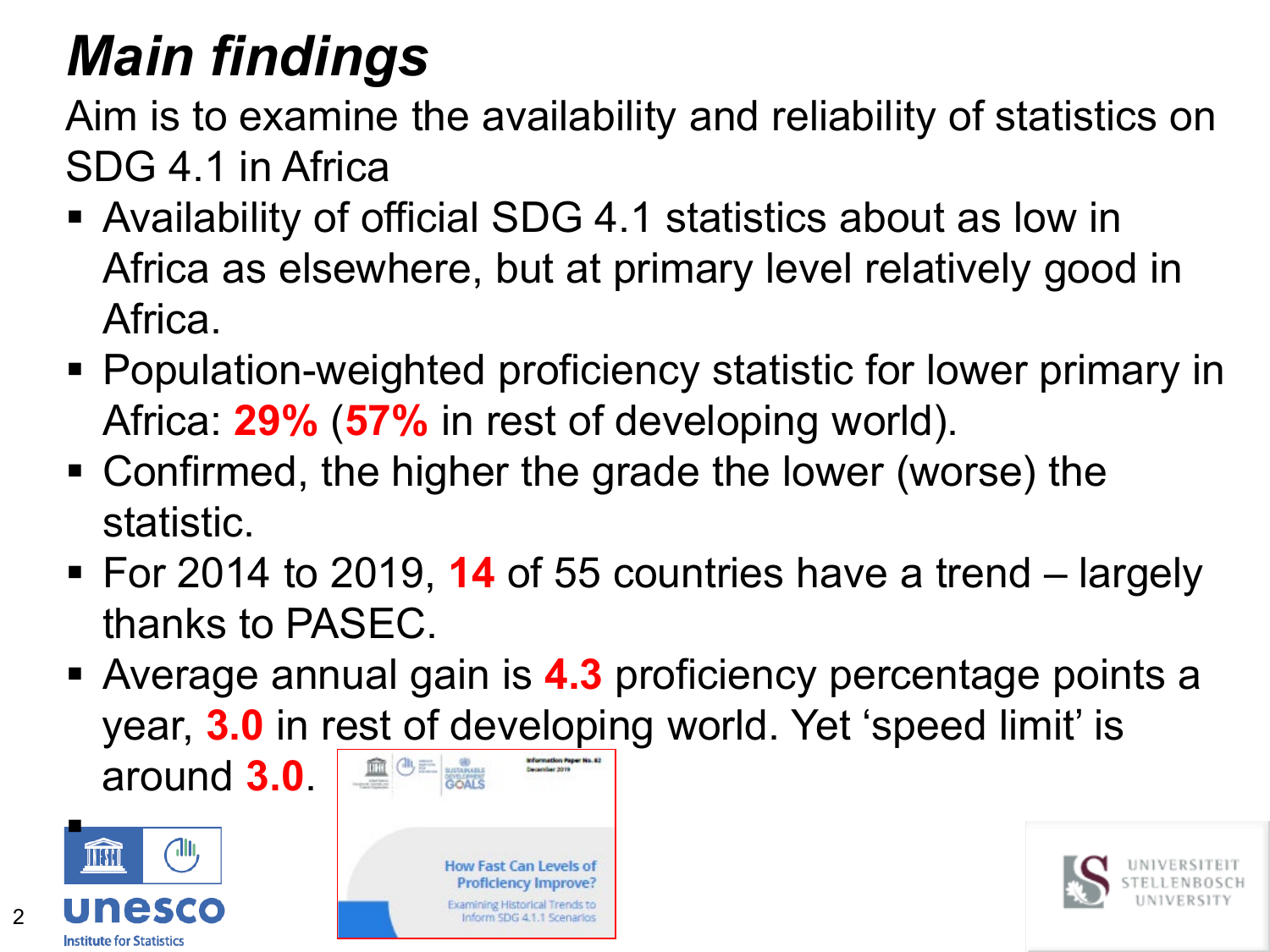# *Main findings*

Aim is to examine the availability and reliability of statistics on SDG 4.1 in Africa

- Availability of official SDG 4.1 statistics about as low in Africa as elsewhere, but at primary level relatively good in Africa.
- Population-weighted proficiency statistic for lower primary in Africa: **29%** (**57%** in rest of developing world).
- Confirmed, the higher the grade the lower (worse) the statistic.
- For 2014 to 2019, **14** of 55 countries have a trend largely thanks to PASEC.
- Average annual gain is **4.3** proficiency percentage points a year, **3.0** in rest of developing world. Yet 'speed limit' is around **3.0**. **December 2019**



 $\mathfrak{D}$ 



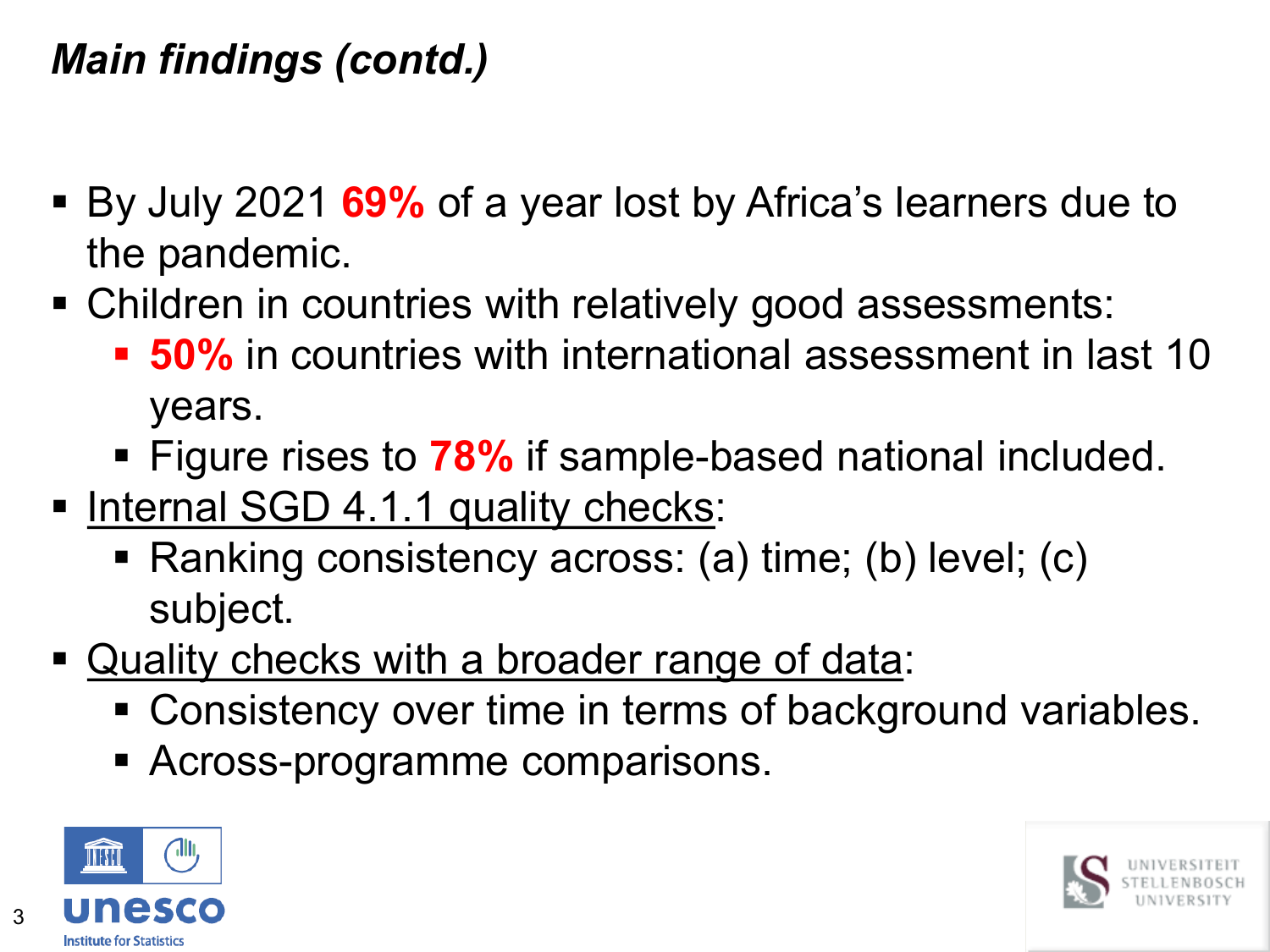### *Main findings (contd.)*

- By July 2021 **69%** of a year lost by Africa's learners due to the pandemic.
- Children in countries with relatively good assessments:
	- **50%** in countries with international assessment in last 10 years.
	- Figure rises to **78%** if sample-based national included.
- Internal SGD 4.1.1 quality checks:
	- Ranking consistency across: (a) time; (b) level; (c) subject.
- Quality checks with a broader range of data:
	- **Consistency over time in terms of background variables.**
	- Across-programme comparisons.



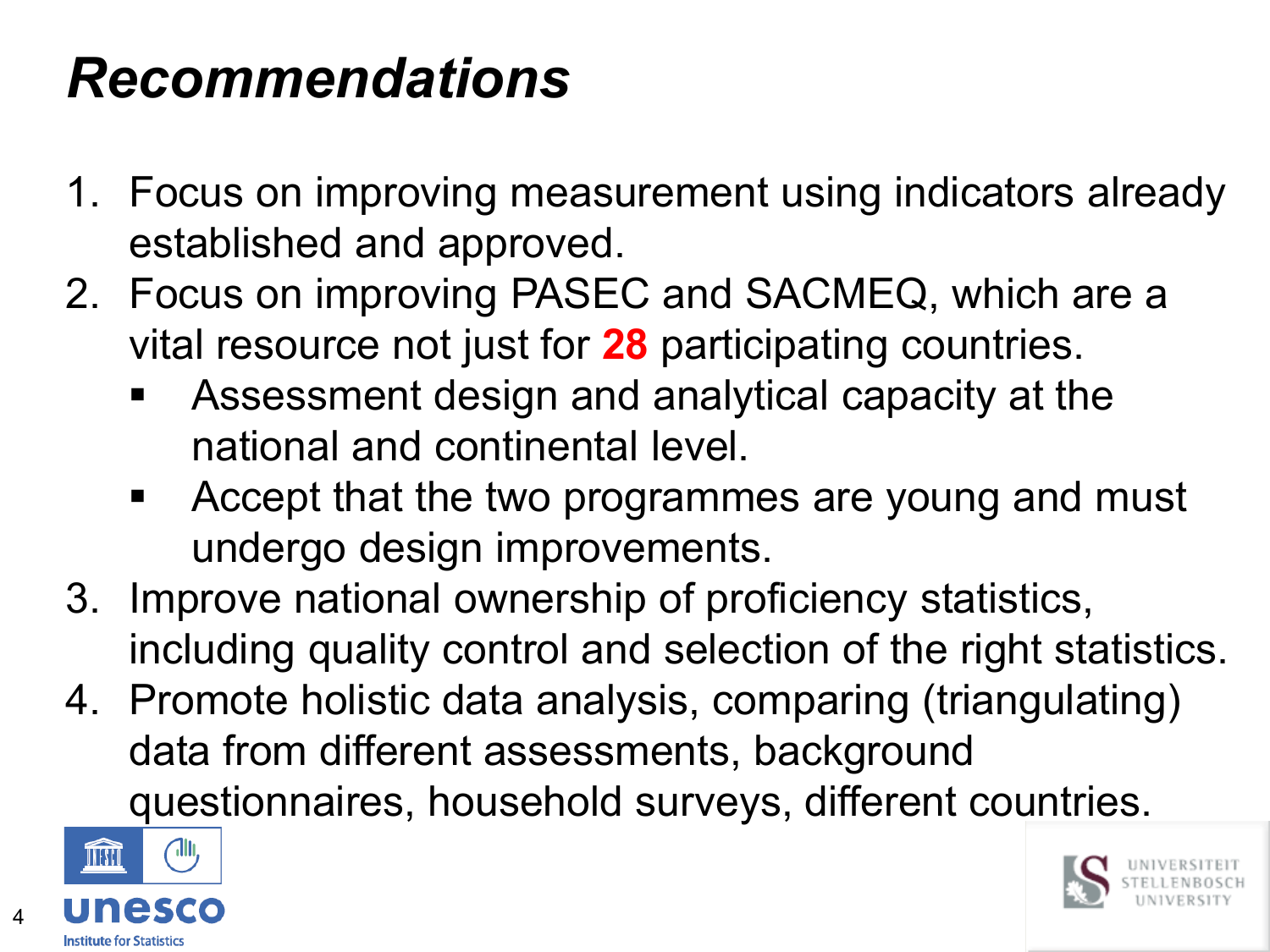# *Recommendations*

- 1. Focus on improving measurement using indicators already established and approved.
- 2. Focus on improving PASEC and SACMEQ, which are a vital resource not just for **28** participating countries.
	- Assessment design and analytical capacity at the national and continental level.
	- Accept that the two programmes are young and must undergo design improvements.
- 3. Improve national ownership of proficiency statistics, including quality control and selection of the right statistics.
- 4. Promote holistic data analysis, comparing (triangulating) data from different assessments, background questionnaires, household surveys, different countries.



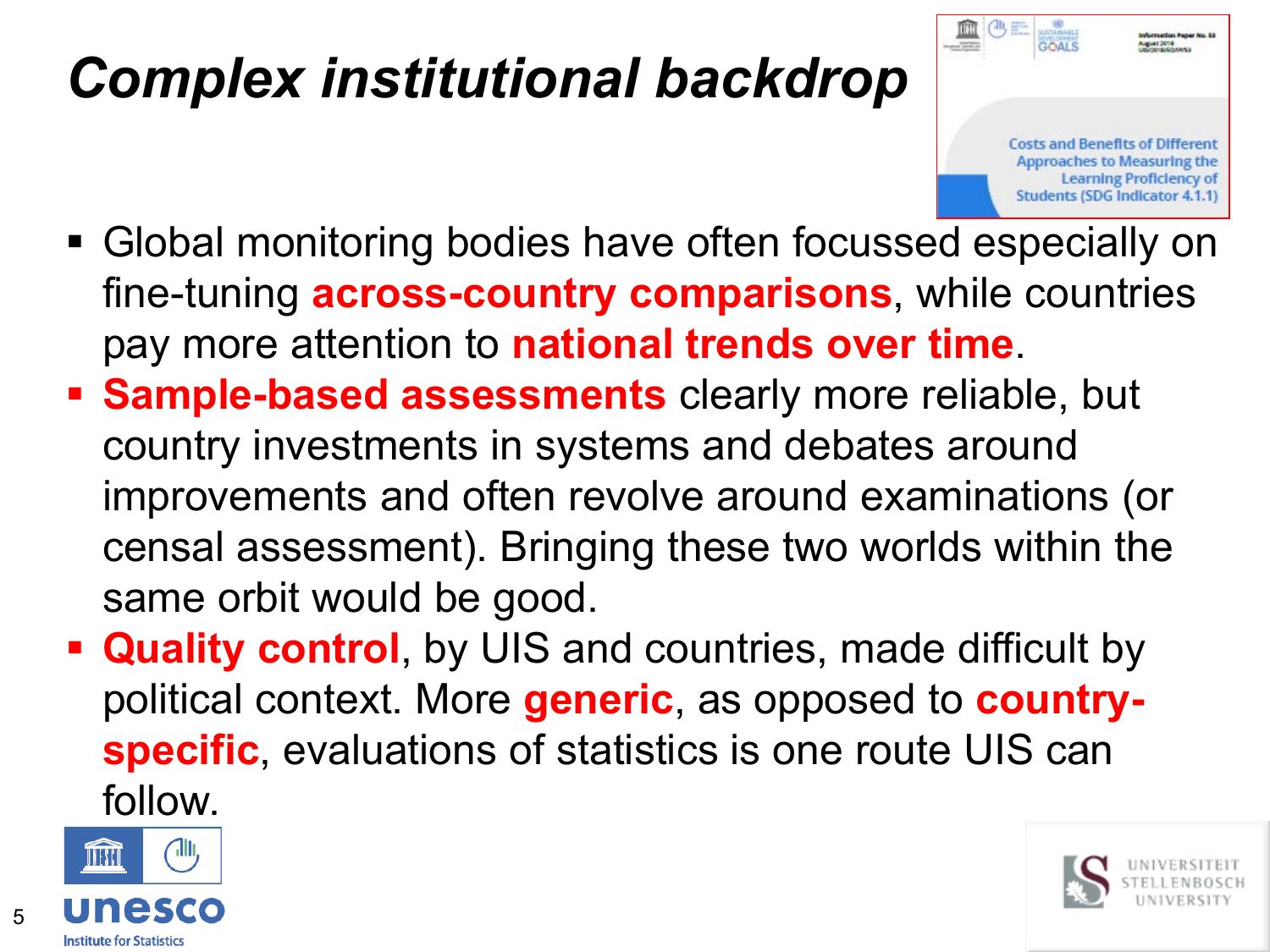# *Complex institutional backdrop*



- Global monitoring bodies have often focussed especially on fine-tuning **across-country comparisons**, while countries pay more attention to **national trends over time**.
- **Sample-based assessments** clearly more reliable, but country investments in systems and debates around improvements and often revolve around examinations (or censal assessment). Bringing these two worlds within the same orbit would be good.
- **Quality control**, by UIS and countries, made difficult by political context. More **generic**, as opposed to **countryspecific**, evaluations of statistics is one route UIS can follow.



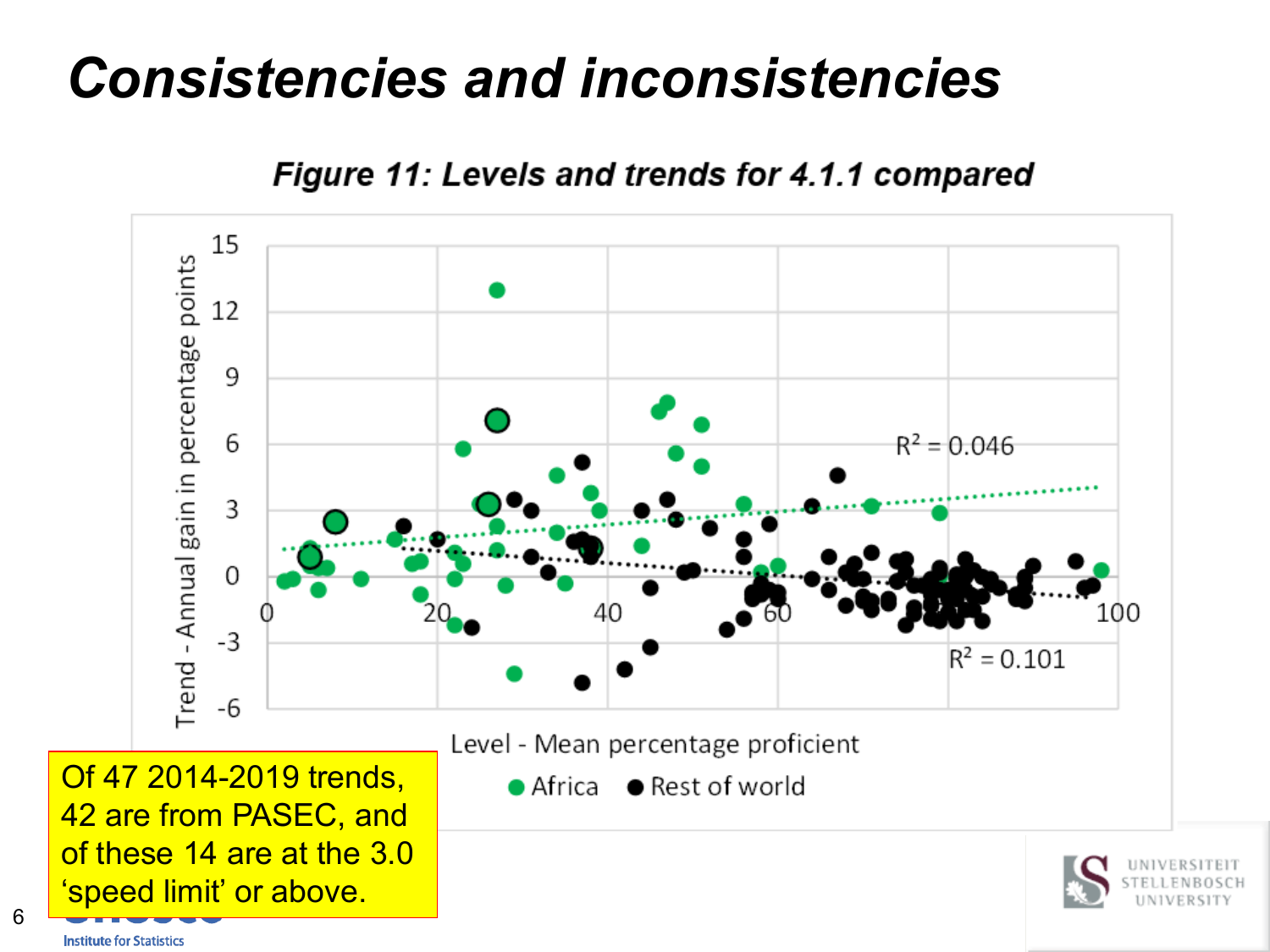### *Consistencies and inconsistencies*

**Figure 11: Levels and trends for 4.1.1 compared** 



**Institute for Statistics**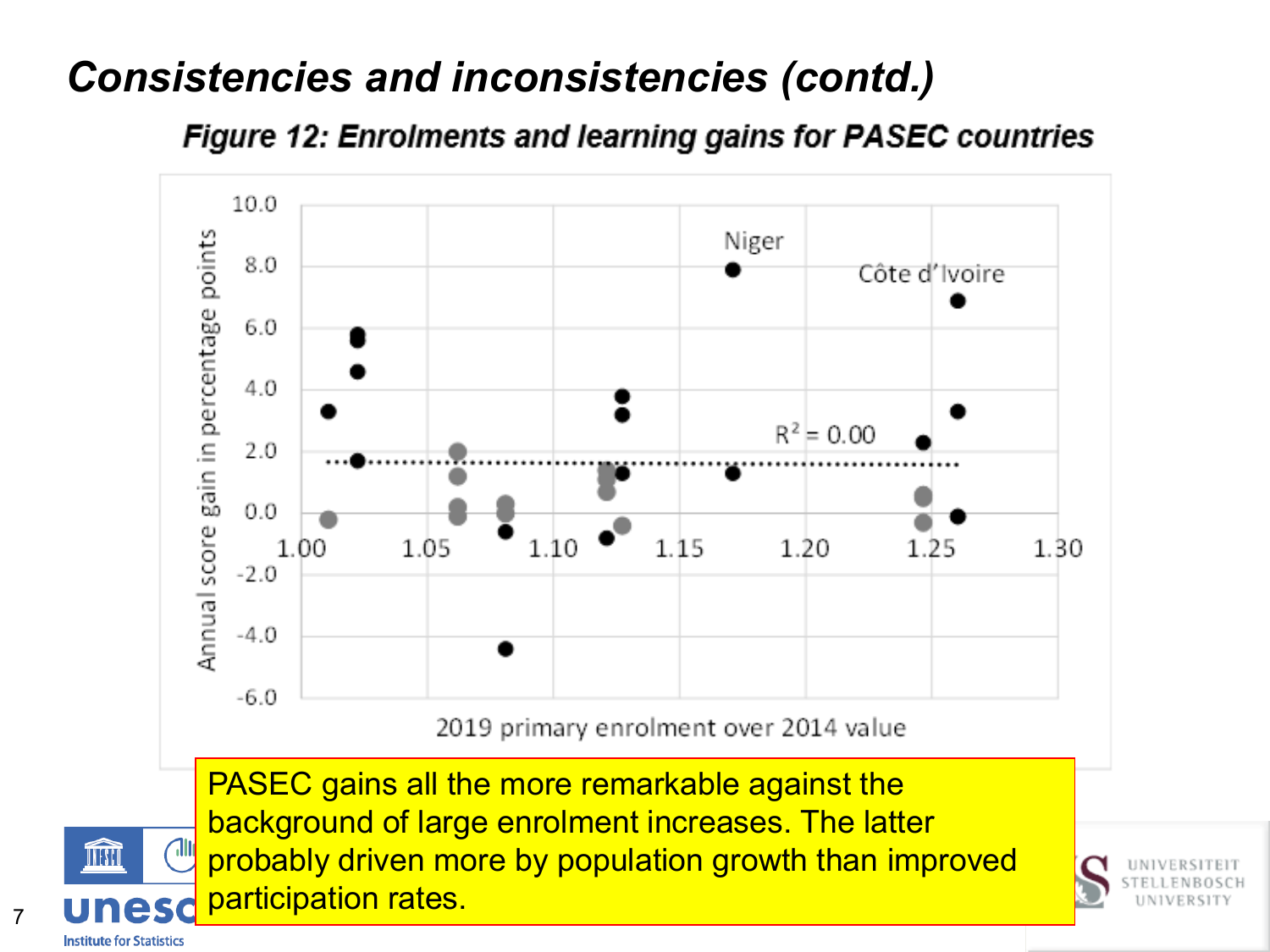Figure 12: Enrolments and learning gains for PASEC countries



**Institute for Statistics** 

THIL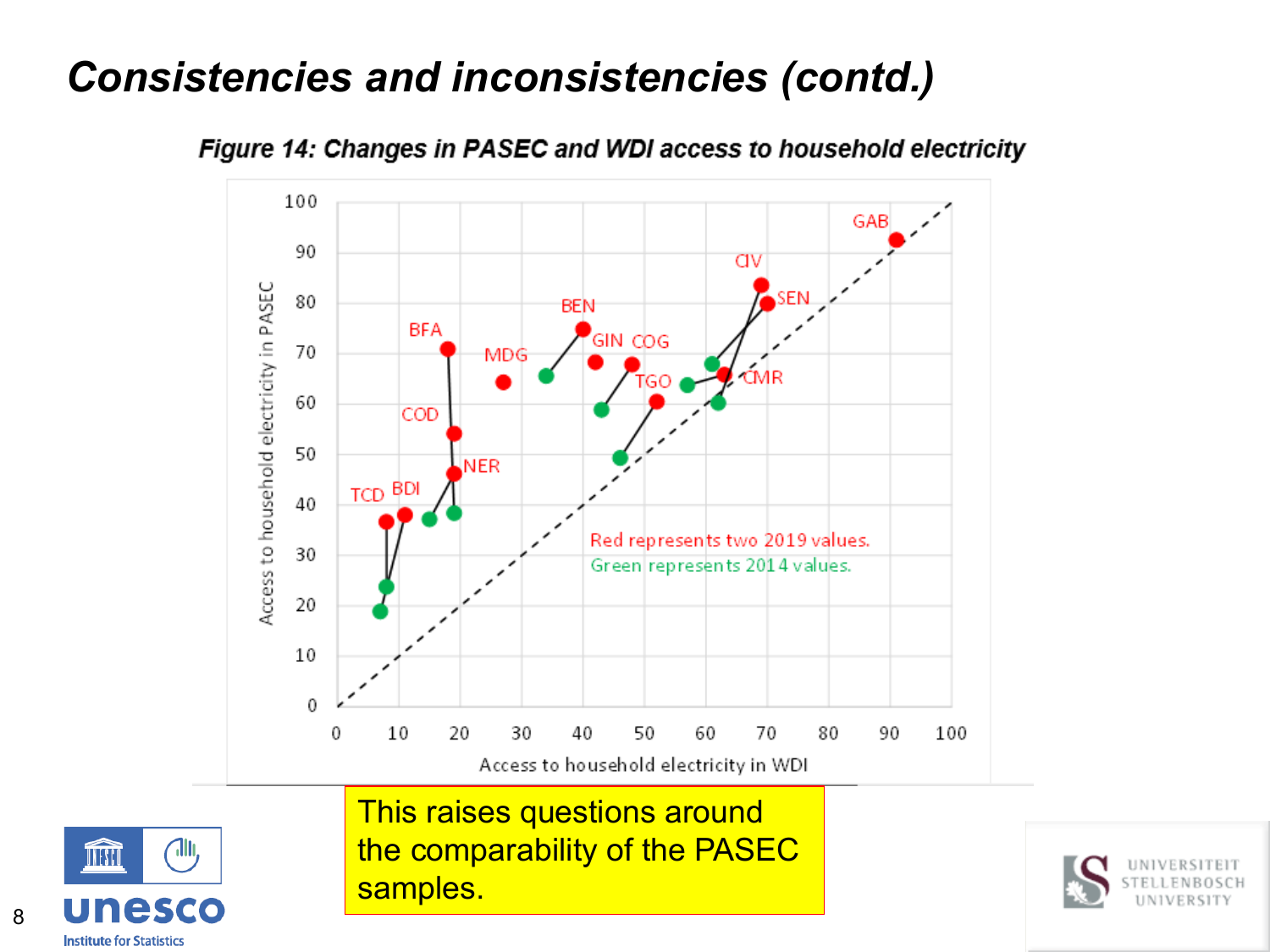

Figure 14: Changes in PASEC and WDI access to household electricity

This raises questions around the comparability of the PASEC samples.



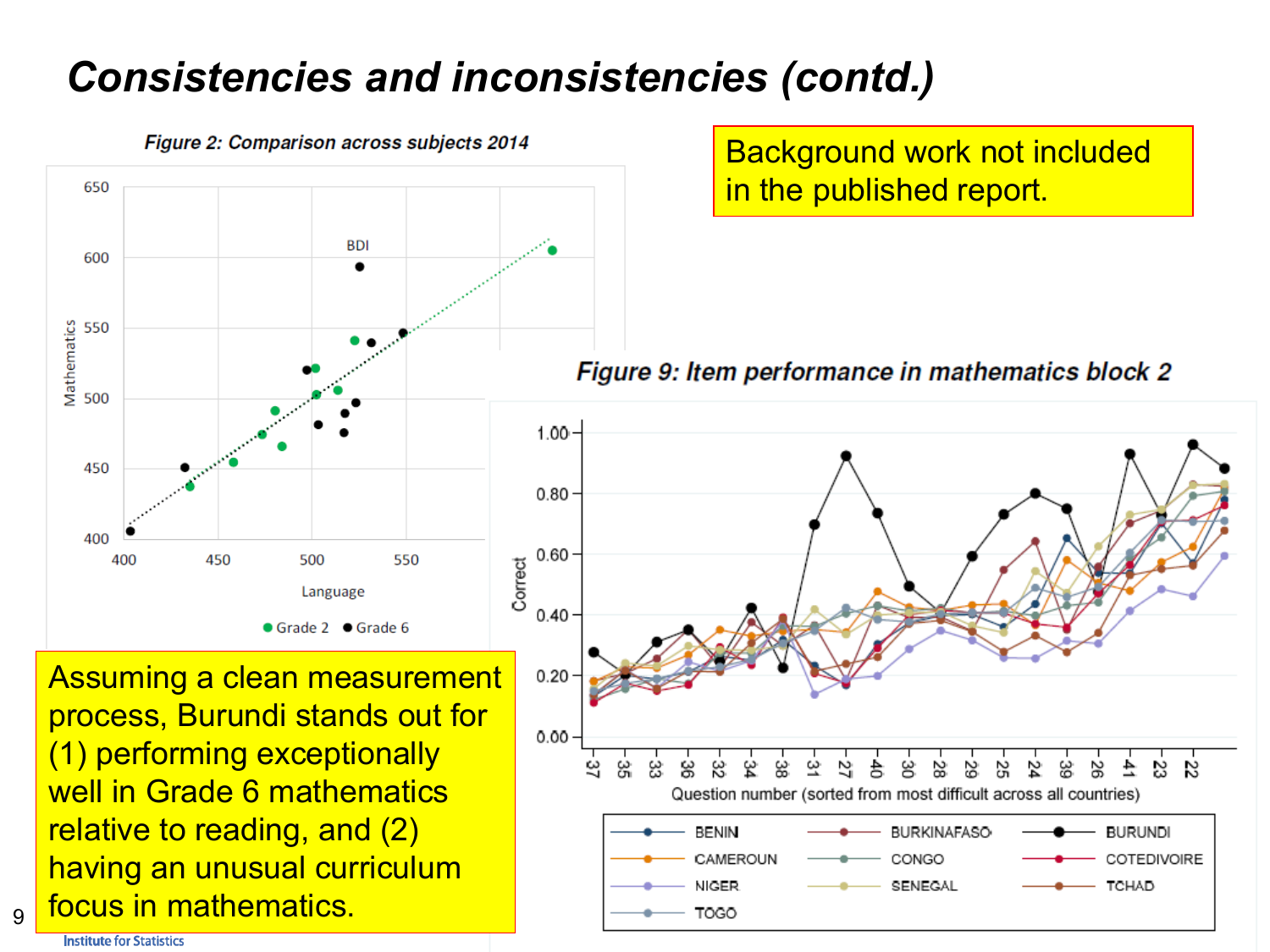

Figure 2: Comparison across subjects 2014

Background work not included in the published report.

Figure 9: Item performance in mathematics block 2



Assuming a clean measurement process, Burundi stands out for (1) performing exceptionally well in Grade 6 mathematics relative to reading, and (2) having an unusual curriculum focus in mathematics.

**Institute for Statistics** 

 $\overline{9}$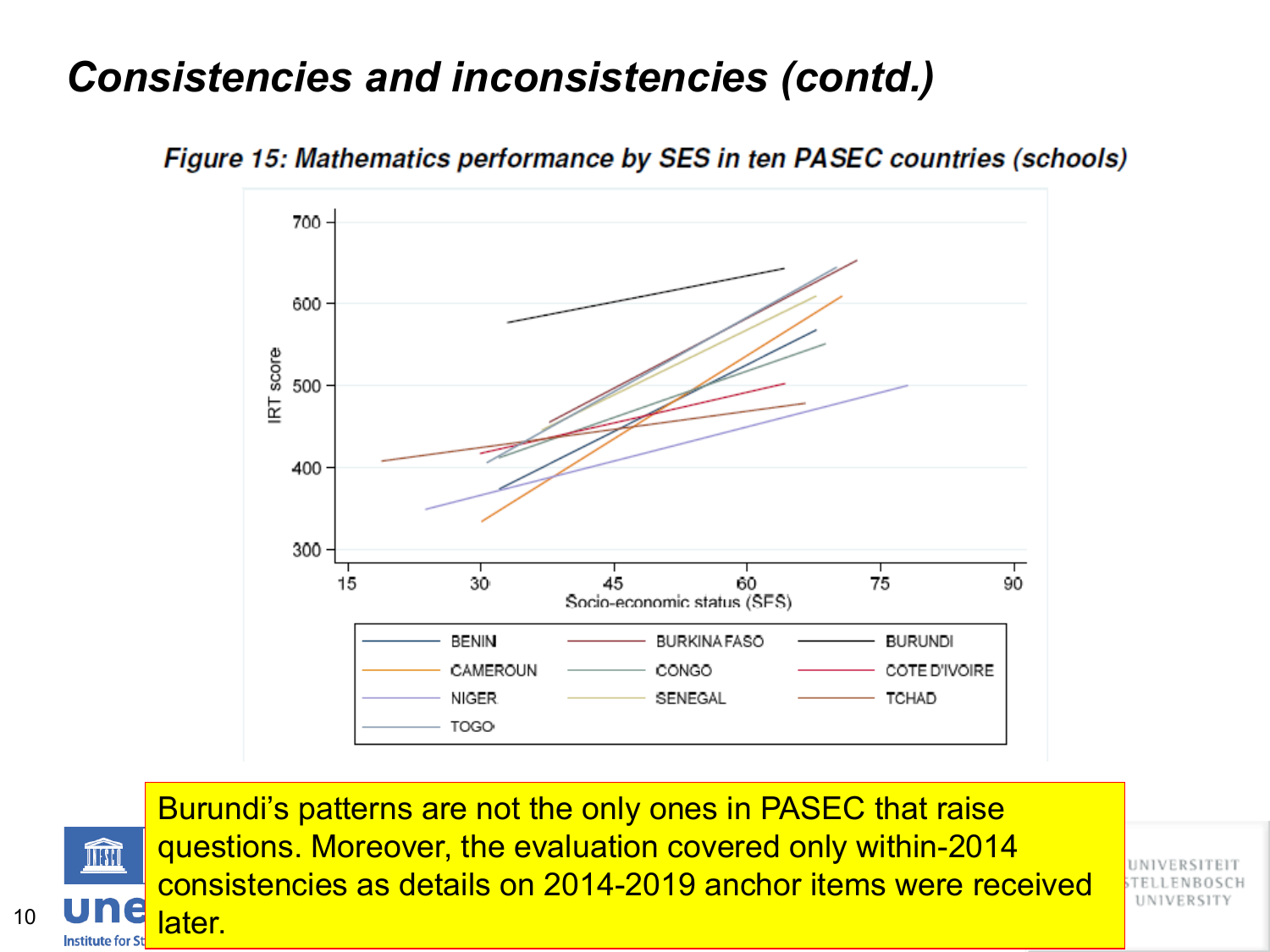

Figure 15: Mathematics performance by SES in ten PASEC countries (schools)

ÍM later.

**Institute for St** 

10

Burundi's patterns are not the only ones in PASEC that raise questions. Moreover, the evaluation covered only within-2014 consistencies as details on 2014-2019 anchor items were received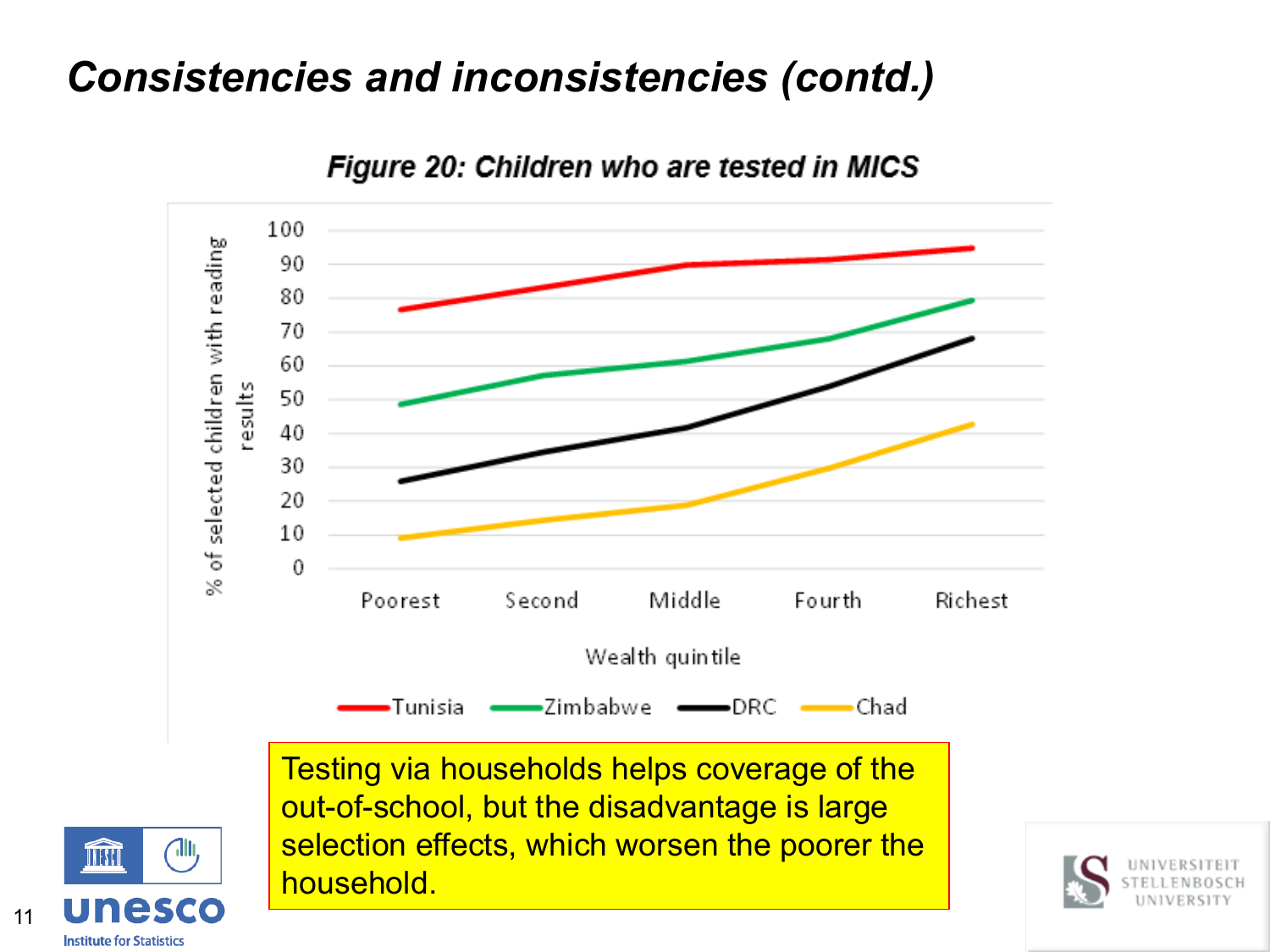

Figure 20: Children who are tested in MICS

out-of-school, but the disadvantage is large selection effects, which worsen the poorer the household.



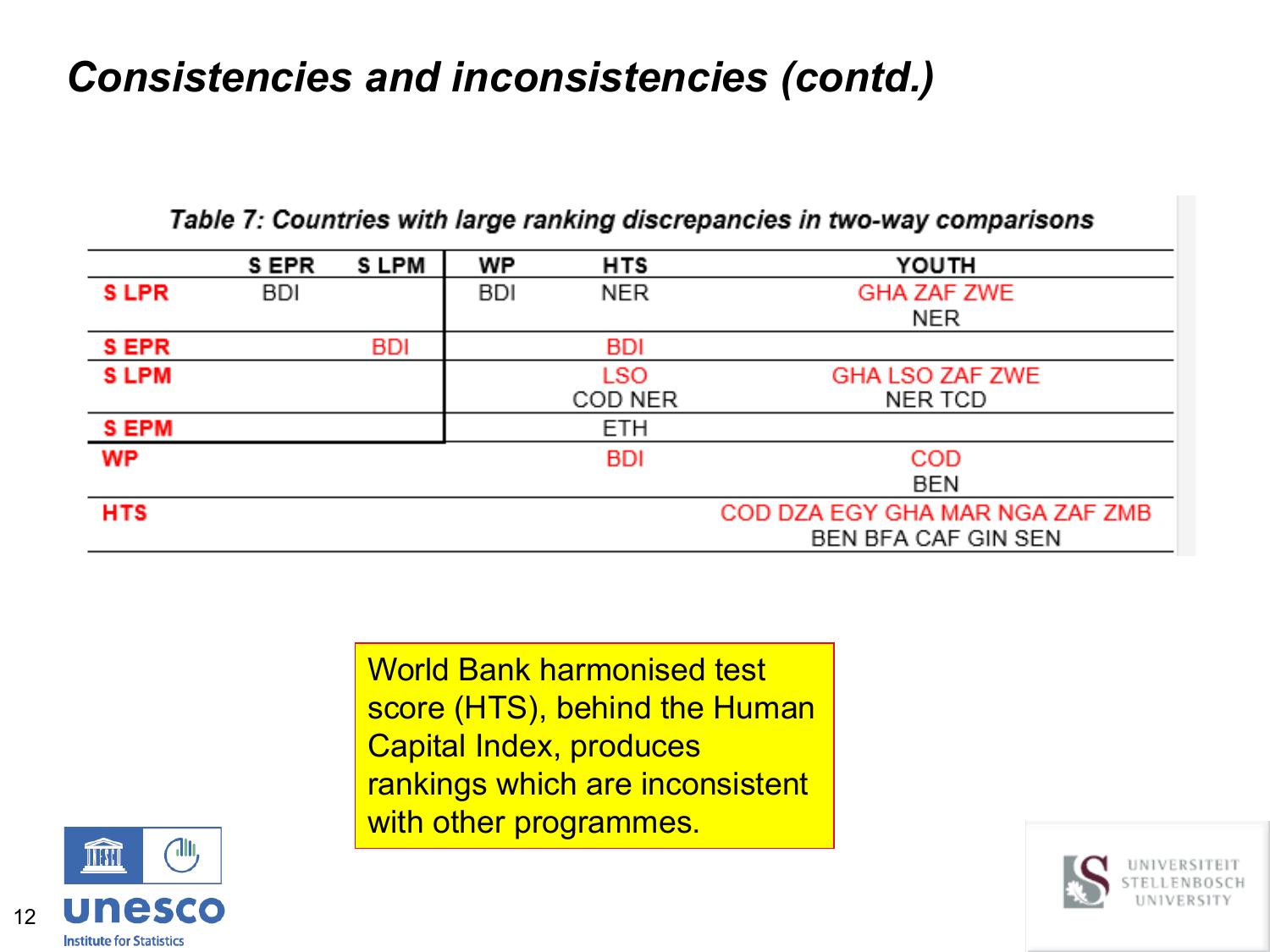|             | S EPR      | S LPM      | WP         | <b>HTS</b> | YOUTH                           |
|-------------|------------|------------|------------|------------|---------------------------------|
| <b>SLPR</b> | <b>BDI</b> |            | <b>BDI</b> | <b>NER</b> | <b>GHA ZAF ZWE</b>              |
|             |            |            |            |            | NER                             |
| <b>SEPR</b> |            | <b>BDI</b> |            | <b>BDI</b> |                                 |
| <b>SLPM</b> |            |            |            | <b>LSO</b> | <b>GHA LSO ZAF ZWE</b>          |
|             |            |            |            | COD NER    | NER TCD                         |
| <b>SEPM</b> |            |            |            | <b>ETH</b> |                                 |
| <b>WP</b>   |            |            |            | <b>BDI</b> | <b>COD</b>                      |
|             |            |            |            |            | BEN                             |
| <b>HTS</b>  |            |            |            |            | COD DZA EGY GHA MAR NGA ZAF ZMB |
|             |            |            |            |            | BEN BFA CAF GIN SEN             |

Table 7: Countries with large ranking discrepancies in two-way comparisons

World Bank harmonised test score (HTS), behind the Human Capital Index, produces rankings which are inconsistent with other programmes.



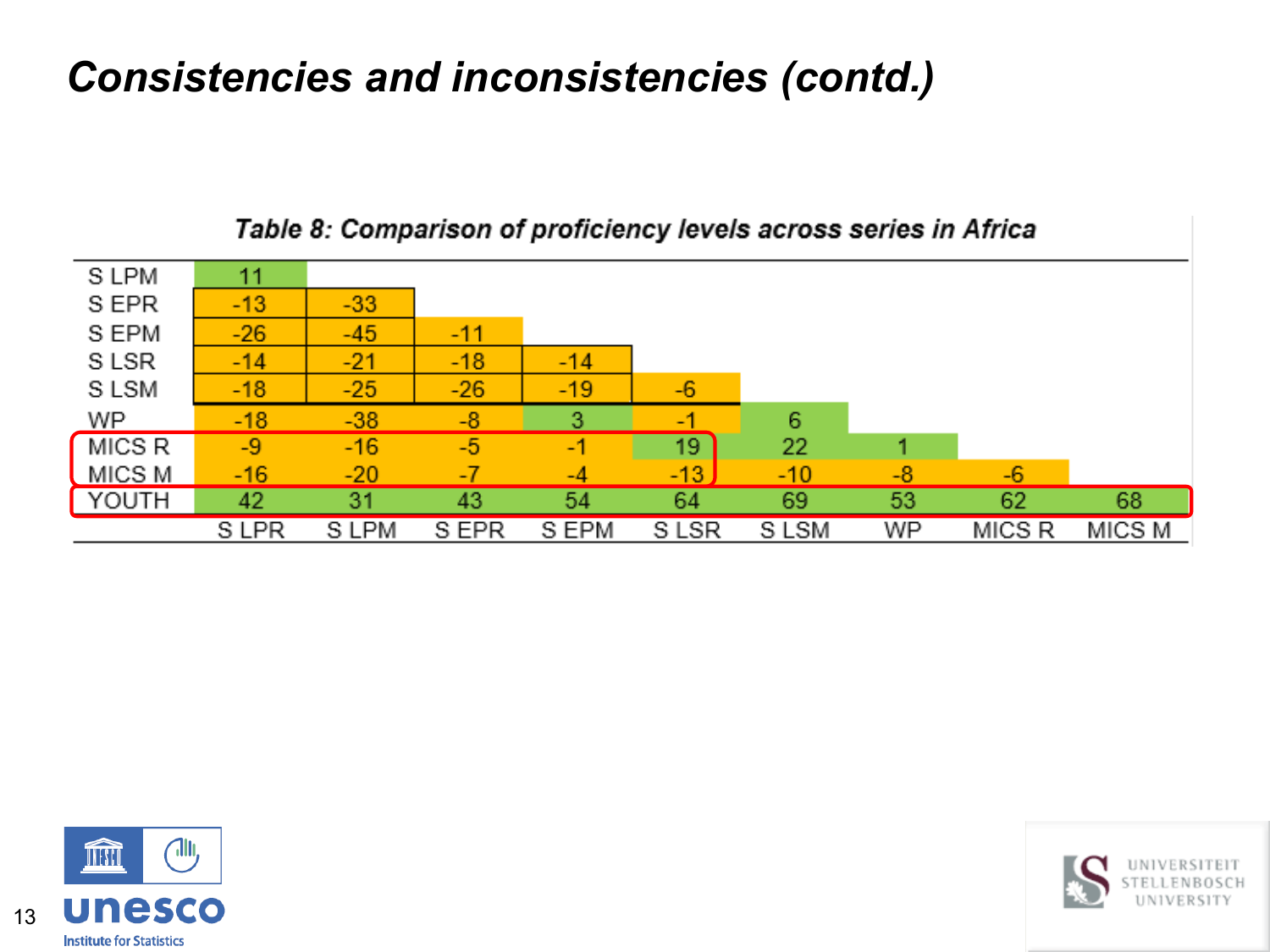

#### Table 8: Comparison of proficiency levels across series in Africa



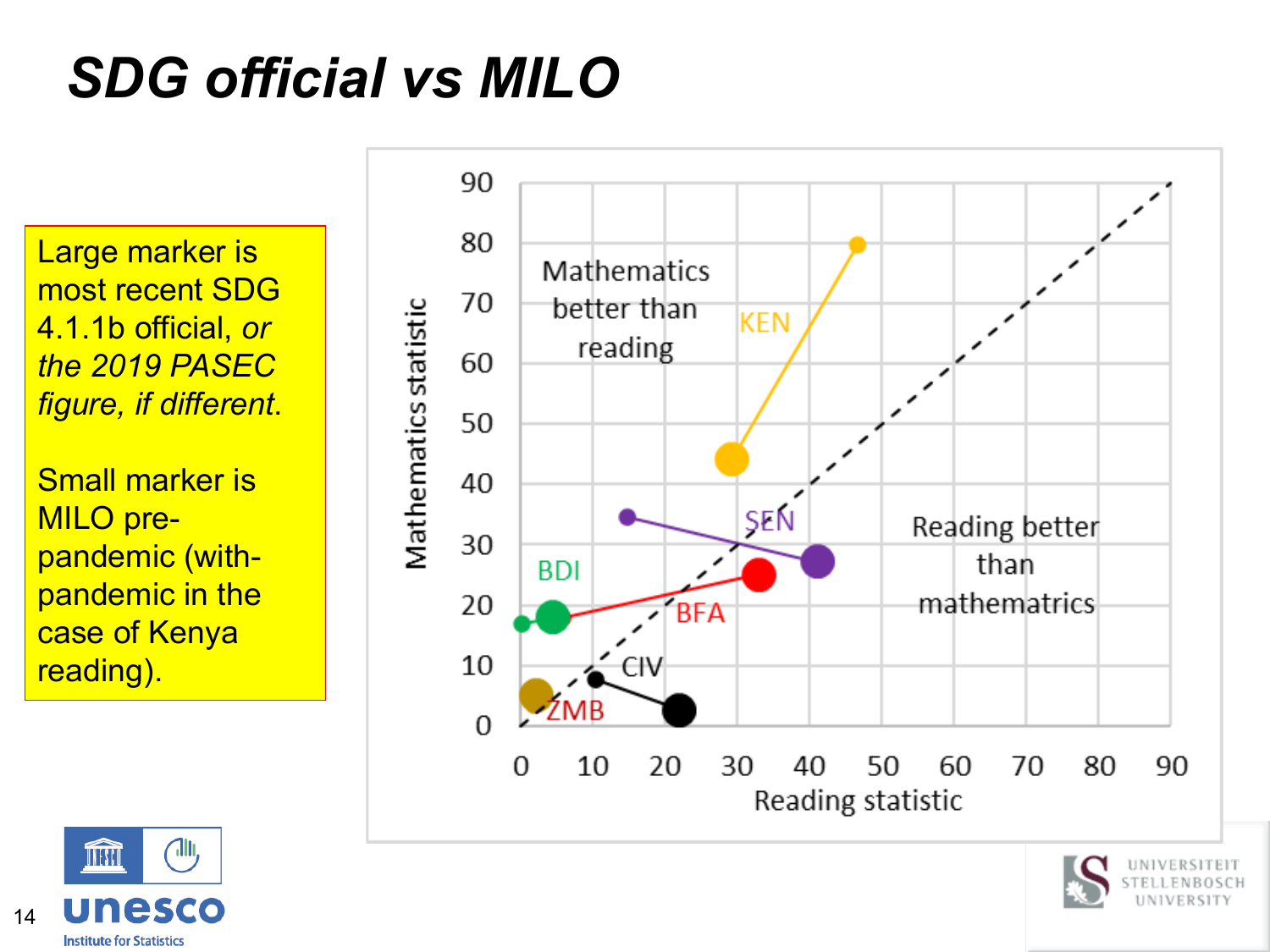# *SDG official vs MILO*

Large marker is most recent SDG 4.1.1b official, *or the 2019 PASEC figure, if different*.

Small marker is MILO prepandemic (withpandemic in the case of Kenya reading).